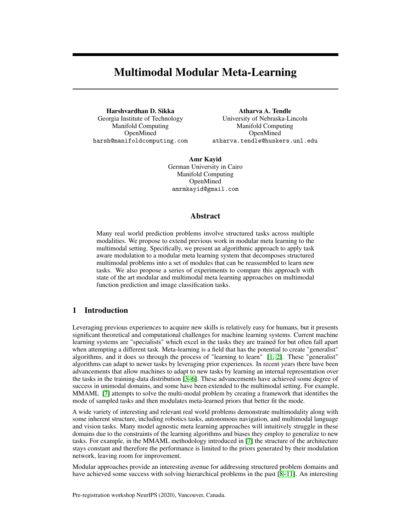# Multimodal Modular Meta-Learning

Harshvardhan D. Sikka Georgia Institute of Technology Manifold Computing OpenMined harsh@manifoldcomputing.com

Atharva A. Tendle University of Nebraska-Lincoln Manifold Computing OpenMined atharva.tendle@huskers.unl.edu

Amr Kayid German University in Cairo Manifold Computing OpenMined amrmkayid@gmail.com

#### Abstract

Many real world prediction problems involve structured tasks across multiple modalities. We propose to extend previous work in modular meta learning to the multimodal setting. Specifically, we present an algorithmic approach to apply task aware modulation to a modular meta learning system that decomposes structured multimodal problems into a set of modules that can be reassembled to learn new tasks. We also propose a series of experiments to compare this approach with state of the art modular and multimodal meta learning approaches on multimodal function prediction and image classification tasks.

# 1 Introduction

Leveraging previous experiences to acquire new skills is relatively easy for humans, but it presents significant theoretical and computational challenges for machine learning systems. Current machine learning systems are "specialists" which excel in the tasks they are trained for but often fall apart when attempting a different task. Meta-learning is a field that has the potential to create "generalist" algorithms, and it does so through the process of "learning to learn" [\[1,](#page-5-0) [2\]](#page-5-1). These "generalist" algorithms can adapt to newer tasks by leveraging prior experiences. In recent years there have been advancements that allow machines to adapt to new tasks by learning an internal representation over the tasks in the training-data distribution [\[3](#page-5-2)[–6\]](#page-5-3). These advancements have achieved some degree of success in unimodal domains, and some have been extended to the multimodal setting. For example, MMAML [\[7\]](#page-5-4) attempts to solve the multi-modal problem by creating a framework that identifies the mode of sampled tasks and then modulates meta-learned priors that better fit the mode.

A wide variety of interesting and relevant real world problems demonstrate multimodality along with some inherent structure, including robotics tasks, autonomous navigation, and multimodal language and vision tasks. Many model agnostic meta learning approaches will intuitively struggle in these domains due to the constraints of the learning algorithms and biases they employ to generalize to new tasks. For example, in the MMAML methodology introduced in [\[7\]](#page-5-4) the structure of the architecture stays constant and therefore the performance is limited to the priors generated by their modulation network, leaving room for improvement.

Modular approaches provide an interesting avenue for addressing structured problem domains and have achieved some success with solving hierarchical problems in the past [\[8–](#page-5-5)[11\]](#page-5-6). An interesting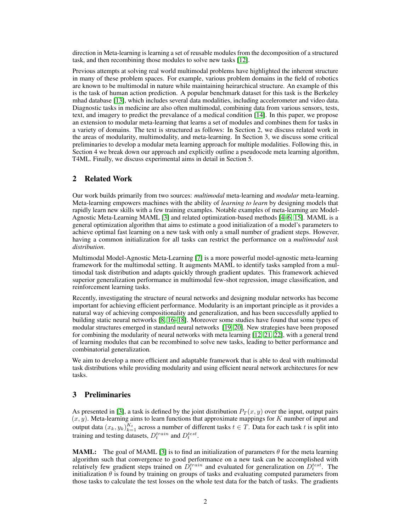direction in Meta-learning is learning a set of reusable modules from the decomposition of a structured task, and then recombining those modules to solve new tasks [\[12\]](#page-5-7).

Previous attempts at solving real world multimodal problems have highlighted the inherent structure in many of these problem spaces. For example, various problem domains in the field of robotics are known to be multimodal in nature while maintaining heirarchical structure. An example of this is the task of human action prediction. A popular benchmark dataset for this task is the Berkeley mhad database [\[13\]](#page-5-8), which includes several data modalities, including accelerometer and video data. Diagnostic tasks in medicine are also often multimodal, combining data from various sensors, tests, text, and imagery to predict the prevalance of a medical condition [\[14\]](#page-6-0). In this paper, we propose an extension to modular meta-learning that learns a set of modules and combines them for tasks in a variety of domains. The text is structured as follows: In Section 2, we discuss related work in the areas of modularity, multimodality, and meta-learning. In Section 3, we discuss some critical preliminaries to develop a modular meta learning approach for multiple modalities. Following this, in Section 4 we break down our approach and explicitly outline a pseudocode meta learning algorithm, T4ML. Finally, we discuss experimental aims in detail in Section 5.

## 2 Related Work

Our work builds primarily from two sources: *multimodal* meta-learning and *modular* meta-learning. Meta-learning empowers machines with the ability of *learning to learn* by designing models that rapidly learn new skills with a few training examples. Notable examples of meta-learning are Model-Agnostic Meta-Learning MAML [\[3\]](#page-5-2) and related optimization-based methods [\[4–](#page-5-9)[6,](#page-5-3) [15\]](#page-6-1). MAML is a general optimization algorithm that aims to estimate a good initialization of a model's parameters to achieve optimal fast learning on a new task with only a small number of gradient steps. However, having a common initialization for all tasks can restrict the performance on a *multimodal task distribution*.

Multimodal Model-Agnostic Meta-Learning [\[7\]](#page-5-4) is a more powerful model-agnostic meta-learning framework for the multimodal setting. It augments MAML to identify tasks sampled from a multimodal task distribution and adapts quickly through gradient updates. This framework achieved superior generalization performance in multimodal few-shot regression, image classification, and reinforcement learning tasks.

Recently, investigating the structure of neural networks and designing modular networks has become important for achieving efficient performance. Modularity is an important principle as it provides a natural way of achieving compositionality and generalization, and has been successfully applied to building static neural networks [\[8,](#page-5-5) [16–](#page-6-2)[18\]](#page-6-3). Moreover some studies have found that some types of modular structures emerged in standard neural networks [\[19,](#page-6-4) [20\]](#page-6-5). New strategies have been proposed for combining the modularity of neural networks with meta learning [\[12,](#page-5-7) [21,](#page-6-6) [22\]](#page-6-7), with a general trend of learning modules that can be recombined to solve new tasks, leading to better performance and combinatorial generalization.

We aim to develop a more efficient and adaptable framework that is able to deal with multimodal task distributions while providing modularity and using efficient neural network architectures for new tasks.

# 3 Preliminaries

As presented in [\[3\]](#page-5-2), a task is defined by the joint distribution  $P_T(x, y)$  over the input, output pairs  $(x, y)$ . Meta-learning aims to learn functions that approximate mappings for K number of input and output data  $(x_k, y_k)_{k=1}^{K_t}$  across a number of different tasks  $t \in T$ . Data for each task t is split into training and testing datasets,  $D_t^{train}$  and  $D_t^{test}$ .

**MAML:** The goal of MAML [\[3\]](#page-5-2) is to find an initialization of parameters  $\theta$  for the meta learning algorithm such that convergence to good performance on a new task can be accomplished with relatively few gradient steps trained on  $\hat{D}_t^{train}$  and evaluated for generalization on  $D_t^{test}$ . The initialization  $\theta$  is found by training on groups of tasks and evaluating computed parameters from those tasks to calculate the test losses on the whole test data for the batch of tasks. The gradients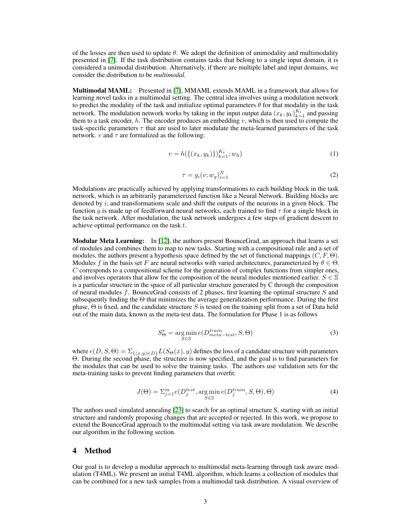of the losses are then used to update  $\theta$ . We adopt the definition of unimodality and multimodality presented in [\[7\]](#page-5-4). If the task distribution contains tasks that belong to a single input domain, it is considered a unimodal distribution. Alternatively, if there are multiple label and input domains, we consider the distribution to be *multimodal*.

Multimodal MAML: Presented in [\[7\]](#page-5-4), MMAML extends MAML in a framework that allows for learning novel tasks in a multimodal setting. The central idea involves using a modulation network to predict the modality of the task and initialize optimal parameters  $\theta$  for that modality in the task network. The modulation network works by taking in the input output data  $(x_k, y_k)_{k=1}^{K_t}$  and passing them to a task encoder,  $h$ . The encoder produces an embedding  $v$ , which is then used to compute the task-specific parameters  $\tau$  that are used to later modulate the meta-learned parameters of the task network. v and  $\tau$  are formalized as the following:

$$
v = h(\{(x_k, y_k)\})_{k=1}^{K_t}; w_h)
$$
\n(1)

$$
\tau = g_i(v; w_g)_{i=1}^N \tag{2}
$$

<span id="page-2-3"></span><span id="page-2-2"></span>Modulations are practically achieved by applying transformations to each building block in the task network, which is an arbitrarily parameterized function like a Neural Network. Building blocks are denoted by  $i$ , and transformations scale and shift the outputs of the neurons in a given block. The function g is made up of feedforward neural networks, each trained to find  $\tau$  for a single block in the task network. After modulation, the task network undergoes a few steps of gradient descent to achieve optimal performance on the task t.

Modular Meta Learning: In [\[12\]](#page-5-7), the authors present BounceGrad, an approach that learns a set of modules and combines them to map to new tasks. Starting with a compositional rule and a set of modules, the authors present a hypothesis space defined by the set of functional mappings  $(C, F, \Theta)$ . Modules f in the basis set F are neural networks with varied architectures, parameterized by  $\theta \in \Theta$ .  $C$  corresponds to a compositional scheme for the generation of complex functions from simpler ones, and involves operators that allow for the composition of the neural modules mentioned earlier.  $S \in \mathbb{S}$ is a particular structure in the space of all particular structure generated by C through the composition of neural modules f. BounceGrad consists of 2 phases, first learning the optimal structure  $S$  and subsequently finding the  $\Theta$  that minimizes the average generalization performance. During the first phase,  $\Theta$  is fixed, and the candidate structure S is tested on the training split from a set of Data held out of the main data, known as the meta-test data. The formulation for Phase 1 is as follows

$$
S_{\Theta}^* = \underset{S \in \mathbb{S}}{\arg \min} e(D_{meta-test}^{train}, S, \Theta)
$$
(3)

<span id="page-2-1"></span><span id="page-2-0"></span>where  $e(D, S, \Theta) = \sum_{\{(x,y)\in D\}} L(S_{\Theta}(x), y)$  defines the loss of a candidate structure with parameters Θ. During the second phase, the structure is now specified, and the goal is to find parameters for the modules that can be used to solve the training tasks. The authors use validation sets for the meta-training tasks to prevent finding parameters that overfit:

$$
J(\Theta) = \sum_{j=1}^{m} e(D_j^{test}, \arg\min_{S \in \mathbb{S}} e(D_j^{train}, S, \Theta), \Theta)
$$
(4)

The authors used simulated annealing [\[23\]](#page-6-8) to search for an optimal structure S, starting with an initial structure and randomly proposing changes that are accepted or rejected. In this work, we propose to extend the BounceGrad approach to the multimodal setting via task aware modulation. We describe our algorithm in the following section.

## 4 Method

Our goal is to develop a modular approach to multimodal meta-learning through task aware modulation (T4ML). We present an initial T4ML algorithm, which learns a collection of modules that can be combined for a new task samples from a multimodal task distribution. A visual overview of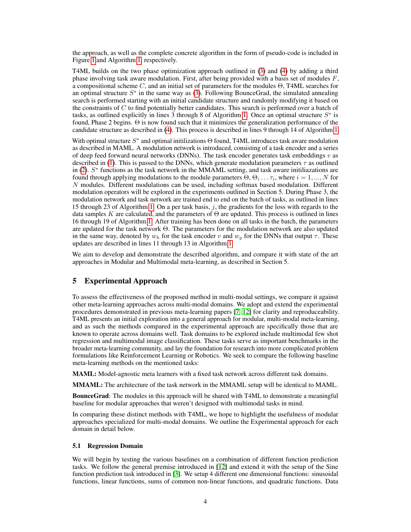the approach, as well as the complete concrete algorithm in the form of pseudo-code is included in Figure [1](#page-4-0) and Algorithm [1,](#page-4-0) respectively.

T4ML builds on the two phase optimization approach outlined in [\(3\)](#page-2-0) and [\(4\)](#page-2-1) by adding a third phase involving task aware modulation. First, after being provided with a basis set of modules  $F$ , a compositional scheme  $C$ , and an initial set of parameters for the modules  $\Theta$ , T4ML searches for an optimal structure  $S^*$  in the same way as [\(3\)](#page-2-0). Following BounceGrad, the simulated annealing search is performed starting with an initial candidate structure and randomly modifying it based on the constraints of  $C$  to find potentially better candidates. This search is performed over a batch of tasks, as outlined explicitly in lines 3 through 8 of Algorithm [1.](#page-4-0) Once an optimal structure  $S^*$  is found, Phase 2 begins. Θ is now found such that it minimizes the generalization performance of the candidate structure as described in [\(4\)](#page-2-1). This process is described in lines 9 through 14 of Algorithm [1.](#page-4-0)

With optimal structure  $S^*$  and optimal initilizations  $\Theta$  found, T4ML introduces task aware modulation as described in MAML. A modulation network is introduced, consisting of a task encoder and a series of deep feed forward neural networks (DNNs). The task encoder generates task embeddings  $v$  as described in [\(1\)](#page-2-2). This is passed to the DNNs, which generate modulation parameters  $\tau$  as outlined in [\(2\)](#page-2-3). S ∗ functions as the task network in the MMAML setting, and task aware initiliazations are found through applying modulations to the module parameters  $\Theta$ ,  $\Theta_i \dots \tau_i$ , where  $i = 1, ..., N$  for N modules. Different modulations can be used, including softmax based modulation. Different modulation operators will be explored in the experiments outlined in Section 5. During Phase 3, the modulation network and task network are trained end to end on the batch of tasks, as outlined in lines 15 through 23 of Algorithm [1.](#page-4-0) On a per task basis, j, the gradients for the loss with regards to the data samples K are calculated, and the parameters of  $\Theta$  are updated. This process is outlined in lines 16 through 19 of Algorithm [1.](#page-4-0) After training has been done on all tasks in the batch, the parameters are updated for the task network Θ. The parameters for the modulation network are also updated in the same way, denoted by  $w_h$  for the task encoder v and  $w_g$  for the DNNs that output  $\tau$ . These updates are described in lines 11 through 13 in Algorithm [1.](#page-4-0)

We aim to develop and demonstrate the described algorithm, and compare it with state of the art approaches in Modular and Multimodal meta-learning, as described in Section 5.

# 5 Experimental Approach

To assess the effectiveness of the proposed method in multi-modal settings, we compare it against other meta-learning approaches across multi-modal domains. We adopt and extend the experimental procedures demonstrated in previous meta-learning papers [\[7,](#page-5-4) [12\]](#page-5-7) for clarity and reproduceability. T4ML presents an initial exploration into a general approach for modular, multi-modal meta-learning, and as such the methods compared in the experimental approach are specifically those that are known to operate across domains well. Task domains to be explored include multimodal few shot regression and multimodal image classification. These tasks serve as important benchmarks in the broader meta-learning community, and lay the foundation for research into more complicated problem formulations like Reinforcement Learning or Robotics. We seek to compare the following baseline meta-learning methods on the mentioned tasks:

MAML: Model-agnostic meta learners with a fixed task network across different task domains.

MMAML: The architecture of the task network in the MMAML setup will be identical to MAML.

BounceGrad: The modules in this approach will be shared with T4ML to demonstrate a meaningful baseline for modular approaches that weren't designed with multimodal tasks in mind.

In comparing these distinct methods with T4ML, we hope to highlight the usefulness of modular approaches specialized for multi-modal domains. We outline the Experimental approach for each domain in detail below.

#### 5.1 Regression Domain

We will begin by testing the various baselines on a combination of different function prediction tasks. We follow the general premise introduced in [\[12\]](#page-5-7) and extend it with the setup of the Sine function prediction task introduced in [\[3\]](#page-5-2). We setup 4 different one dimensional functions: sinusoidal functions, linear functions, sums of common non-linear functions, and quadratic functions. Data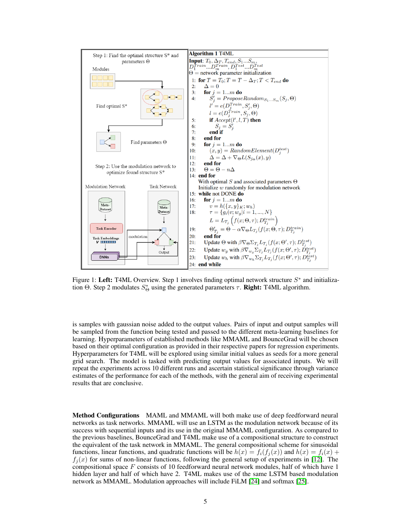

<span id="page-4-0"></span>Figure 1: Left: T4ML Overview. Step 1 involves finding optimal network structure  $S^*$  and initialization Θ. Step 2 modulates  $S^*_{\Theta}$  using the generated parameters  $\tau$ . **Right:** T4ML algorithm.

is samples with gaussian noise added to the output values. Pairs of input and output samples will be sampled from the function being tested and passed to the different meta-learning baselines for learning. Hyperparameters of established methods like MMAML and BounceGrad will be chosen based on their optimal configuration as provided in their respective papers for regression experiments. Hyperparameters for T4ML will be explored using similar initial values as seeds for a more general grid search. The model is tasked with predicting output values for associated inputs. We will repeat the experiments across 10 different runs and ascertain statistical significance through variance estimates of the performance for each of the methods, with the general aim of receiving experimental results that are conclusive.

Method Configurations MAML and MMAML will both make use of deep feedforward neural networks as task networks. MMAML will use an LSTM as the modulation network because of its success with sequential inputs and its use in the original MMAML configuration. As compared to the previous baselines, BounceGrad and T4ML make use of a compositional structure to construct the equivalent of the task network in MMAML. The general compositional scheme for sinusoidal functions, linear functions, and quadratic functions will be  $h(x) = f_i(f_i(x))$  and  $h(x) = f_i(x) +$  $f_i(x)$  for sums of non-linear functions, following the general setup of experiments in [\[12\]](#page-5-7). The compositional space F consists of 10 feedforward neural network modules, half of which have 1 hidden layer and half of which have 2. T4ML makes use of the same LSTM based modulation network as MMAML. Modulation approaches will include FiLM [\[24\]](#page-6-9) and softmax [\[25\]](#page-6-10).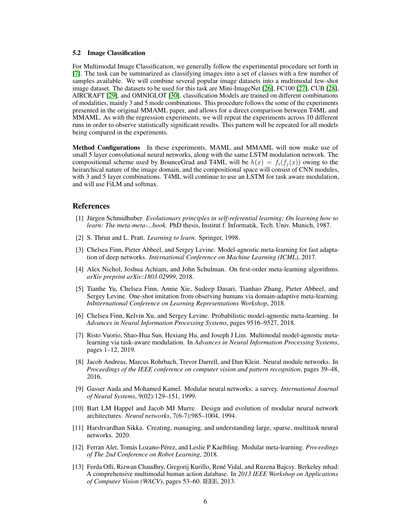#### 5.2 Image Classification

For Multimodal Image Classification, we generally follow the experimental procedure set forth in [\[7\]](#page-5-4). The task can be summarized as classifying images into a set of classes with a few number of samples available. We will combine several popular image datasets into a multimodal few-shot image dataset. The datasets to be used for this task are Mini-ImageNet [\[26\]](#page-6-11), FC100 [\[27\]](#page-6-12), CUB [\[28\]](#page-6-13), AIRCRAFT [\[29\]](#page-6-14), and OMNIGLOT [\[30\]](#page-6-15). classification Models are trained on different combinations of modalities, mainly 3 and 5 mode combinations. This procedure follows the some of the experiments presented in the original MMAML paper, and allows for a direct comparison between T4ML and MMAML. As with the regression experiments, we will repeat the experiments across 10 different runs in order to observe statistically significant results. This pattern will be repeated for all models being compared in the experiments.

Method Configurations In these experiments, MAML and MMAML will now make use of small 5 layer convolutional neural networks, along with the same LSTM modulation network. The compositional scheme used by BounceGrad and T4ML will be  $h(x) = f_i(f_i(x))$  owing to the heirarchical nature of the image domain, and the compositional space will consist of CNN modules, with 3 and 5 layer combinations. T4ML will continue to use an LSTM for task aware modulation, and will use FiLM and softmax.

#### **References**

- <span id="page-5-0"></span>[1] Jürgen Schmidhuber. *Evolutionary principles in self-referential learning; On learning how to learn: The meta-meta-...hook*. PhD thesis, Institut f. Informatik, Tech. Univ. Munich, 1987.
- <span id="page-5-1"></span>[2] S. Thrun and L. Pratt. *Learning to learn*. Springer, 1998.
- <span id="page-5-2"></span>[3] Chelsea Finn, Pieter Abbeel, and Sergey Levine. Model-agnostic meta-learning for fast adaptation of deep networks. *International Conference on Machine Learning (ICML)*, 2017.
- <span id="page-5-9"></span>[4] Alex Nichol, Joshua Achiam, and John Schulman. On first-order meta-learning algorithms. *arXiv preprint arXiv:1803.02999*, 2018.
- [5] Tianhe Yu, Chelsea Finn, Annie Xie, Sudeep Dasari, Tianhao Zhang, Pieter Abbeel, and Sergey Levine. One-shot imitation from observing humans via domain-adaptive meta-learning. *InInternational Conference on Learning Representations Workshop*, 2018.
- <span id="page-5-3"></span>[6] Chelsea Finn, Kelvin Xu, and Sergey Levine. Probabilistic model-agnostic meta-learning. In *Advances in Neural Information Processing Systems*, pages 9516–9527, 2018.
- <span id="page-5-4"></span>[7] Risto Vuorio, Shao-Hua Sun, Hexiang Hu, and Joseph J Lim. Multimodal model-agnostic metalearning via task-aware modulation. In *Advances in Neural Information Processing Systems*, pages 1–12, 2019.
- <span id="page-5-5"></span>[8] Jacob Andreas, Marcus Rohrbach, Trevor Darrell, and Dan Klein. Neural module networks. In *Proceedings of the IEEE conference on computer vision and pattern recognition*, pages 39–48, 2016.
- [9] Gasser Auda and Mohamed Kamel. Modular neural networks: a survey. *International Journal of Neural Systems*, 9(02):129–151, 1999.
- [10] Bart LM Happel and Jacob MJ Murre. Design and evolution of modular neural network architectures. *Neural networks*, 7(6-7):985–1004, 1994.
- <span id="page-5-6"></span>[11] Harshvardhan Sikka. Creating, managing, and understanding large, sparse, multitask neural networks. 2020.
- <span id="page-5-7"></span>[12] Ferran Alet, Tomás Lozano-Pérez, and Leslie P Kaelbling. Modular meta-learning. *Proceedings of The 2nd Conference on Robot Learning*, 2018.
- <span id="page-5-8"></span>[13] Ferda Ofli, Rizwan Chaudhry, Gregorij Kurillo, René Vidal, and Ruzena Bajcsy. Berkeley mhad: A comprehensive multimodal human action database. In *2013 IEEE Workshop on Applications of Computer Vision (WACV)*, pages 53–60. IEEE, 2013.